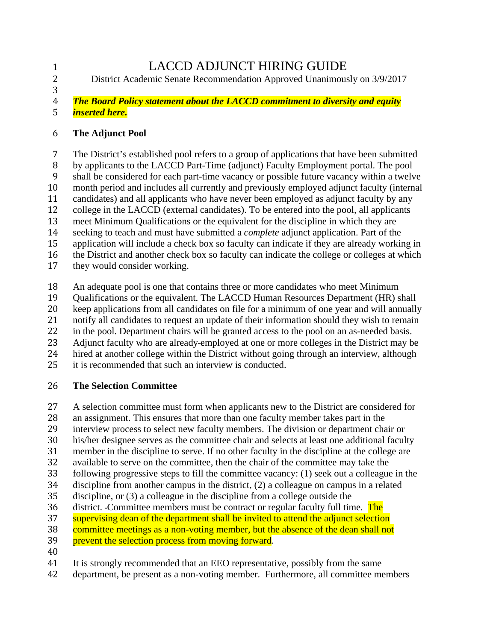1 LACCD ADJUNCT HIRING GUIDE<br>2 District Academic Senate Recommendation Approved Unanimous 2 District Academic Senate Recommendation Approved Unanimously on 3/9/2017

#### 3<br>4 4 *The Board Policy statement about the LACCD commitment to diversity and equity*  5 *inserted here.*

### 6 **The Adjunct Pool**

7 The District's established pool refers to a group of applications that have been submitted<br>8 by applicants to the LACCD Part-Time (adjunct) Faculty Employment portal. The pool 8 by applicants to the LACCD Part-Time (adjunct) Faculty Employment portal. The pool<br>9 shall be considered for each part-time vacancy or possible future vacancy within a twelve 9 shall be considered for each part-time vacancy or possible future vacancy within a twelve<br>10 month period and includes all currently and previously employed adjunct faculty (internal 10 month period and includes all currently and previously employed adjunct faculty (internal<br>11 candidates) and all applicants who have never been employed as adjunct faculty by any 11 candidates) and all applicants who have never been employed as adjunct faculty by any college in the LACCD (external candidates). To be entered into the pool, all applicants 12 college in the LACCD (external candidates). To be entered into the pool, all applicants<br>13 meet Minimum Qualifications or the equivalent for the discipline in which they are 13 meet Minimum Qualifications or the equivalent for the discipline in which they are<br>14 seeking to teach and must have submitted a *complete* adjunct application. Part of the 14 seeking to teach and must have submitted a *complete* adjunct application. Part of the application will include a check box so faculty can indicate if they are already working 15 application will include a check box so faculty can indicate if they are already working in<br>16 the District and another check box so faculty can indicate the college or colleges at which 16 the District and another check box so faculty can indicate the college or colleges at which<br>17 they would consider working. they would consider working.

18 An adequate pool is one that contains three or more candidates who meet Minimum<br>19 Qualifications or the equivalent. The LACCD Human Resources Department (HR) s

19 Qualifications or the equivalent. The LACCD Human Resources Department (HR) shall<br>20 keep applications from all candidates on file for a minimum of one vear and will annually

20 keep applications from all candidates on file for a minimum of one year and will annually<br>21 notify all candidates to request an update of their information should they wish to remain

21 notify all candidates to request an update of their information should they wish to remain<br>22 in the pool. Department chairs will be granted access to the pool on an as-needed basis.

22 in the pool. Department chairs will be granted access to the pool on an as-needed basis.<br>23 Adjunct faculty who are already-employed at one or more colleges in the District may b

23 Adjunct faculty who are already-employed at one or more colleges in the District may be<br>24 hired at another college within the District without going through an interview, although

24 hired at another college within the District without going through an interview, although 25 it is recommended that such an interview is conducted.

it is recommended that such an interview is conducted.

# 26 **The Selection Committee**

27 A selection committee must form when applicants new to the District are considered for<br>28 an assignment. This ensures that more than one faculty member takes part in the

- 28 an assignment. This ensures that more than one faculty member takes part in the interview process to select new faculty members. The division or department cha
- 29 interview process to select new faculty members. The division or department chair or<br>30 his/her designee serves as the committee chair and selects at least one additional facul
- 30 his/her designee serves as the committee chair and selects at least one additional faculty<br>31 member in the discipline to serve. If no other faculty in the discipline at the college are
- 31 member in the discipline to serve. If no other faculty in the discipline at the college are<br>32 available to serve on the committee, then the chair of the committee may take the
- 32 available to serve on the committee, then the chair of the committee may take the following progressive steps to fill the committee vacancy: (1) seek out a colleague
- 33 following progressive steps to fill the committee vacancy: (1) seek out a colleague in the discipline from another campus in the district. (2) a colleague on campus in a related
- 34 discipline from another campus in the district,  $(2)$  a colleague on campus in a related discipline, or  $(3)$  a colleague in the discipline from a college outside the
- 35 discipline, or (3) a colleague in the discipline from a college outside the district. Committee members must be contract or regular faculty full tin
- 36 district. Committee members must be contract or regular faculty full time. The supervising dean of the department shall be invited to attend the adjunct selection
- 37 supervising dean of the department shall be invited to attend the adjunct selection<br>38 committee meetings as a non-voting member, but the absence of the dean shall not
- 38 committee meetings as a non-voting member, but the absence of the dean shall not<br>39 between the selection process from moving forward.
- prevent the selection process from moving forward.
- $\frac{40}{41}$
- 41 It is strongly recommended that an EEO representative, possibly from the same<br>42 department, be present as a non-voting member. Furthermore, all committee me
- department, be present as a non-voting member. Furthermore, all committee members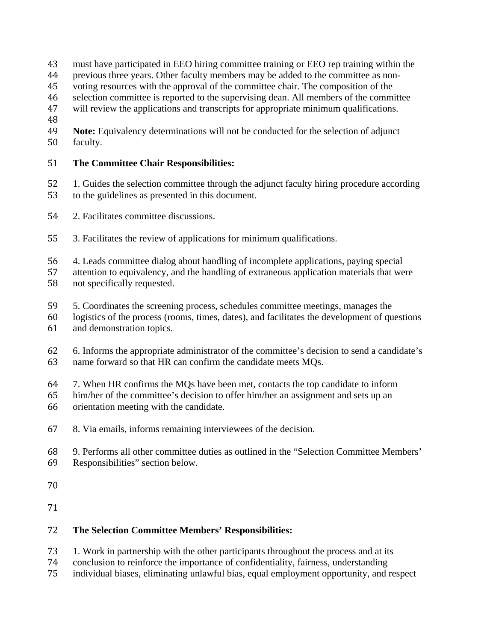- 43 must have participated in EEO hiring committee training or EEO rep training within the previous three vears. Other faculty members may be added to the committee as non-
- 44 previous three years. Other faculty members may be added to the committee as non-<br>45 voting resources with the approval of the committee chair. The composition of the
- 45 voting resources with the approval of the committee chair. The composition of the selection committee is reported to the supervising dean. All members of the commi
- 46 selection committee is reported to the supervising dean. All members of the committee<br>47 will review the applications and transcripts for appropriate minimum qualifications.
- will review the applications and transcripts for appropriate minimum qualifications.
- 48
- 49 **Note:** Equivalency determinations will not be conducted for the selection of adjunct faculty. faculty.

# 51 **The Committee Chair Responsibilities:**

- 52 1. Guides the selection committee through the adjunct faculty hiring procedure according to the guidelines as presented in this document. to the guidelines as presented in this document.
- 54 2. Facilitates committee discussions.
- 55 3. Facilitates the review of applications for minimum qualifications.
- 
- 56 4. Leads committee dialog about handling of incomplete applications, paying special<br>57 attention to equivalency, and the handling of extraneous application materials that we 57 attention to equivalency, and the handling of extraneous application materials that were<br>58 not specifically requested. not specifically requested.
- 59 5. Coordinates the screening process, schedules committee meetings, manages the logistics of the process (rooms, times, dates), and facilitates the development of qu
- 60 logistics of the process (rooms, times, dates), and facilitates the development of questions and demonstration topics. and demonstration topics.
- 62 6. Informs the appropriate administrator of the committee's decision to send a candidate's name forward so that HR can confirm the candidate meets MOs. name forward so that HR can confirm the candidate meets MOs.
- 64 7. When HR confirms the MQs have been met, contacts the top candidate to inform<br>65 him/her of the committee's decision to offer him/her an assignment and sets up an
- 65 him/her of the committee's decision to offer him/her an assignment and sets up an orientation meeting with the candidate orientation meeting with the candidate.
- 67 8. Via emails, informs remaining interviewees of the decision.
- 68 9. Performs all other committee duties as outlined in the "Selection Committee Members'
- Responsibilities" section below.
- 70
- 71

# 72 **The Selection Committee Members' Responsibilities:**

- 73 1. Work in partnership with the other participants throughout the process and at its<br>74 conclusion to reinforce the importance of confidentiality, fairness, understanding
- 74 conclusion to reinforce the importance of confidentiality, fairness, understanding<br>75 individual biases, eliminating unlawful bias, equal employment opportunity, and i
- 75 individual biases, eliminating unlawful bias, equal employment opportunity, and respect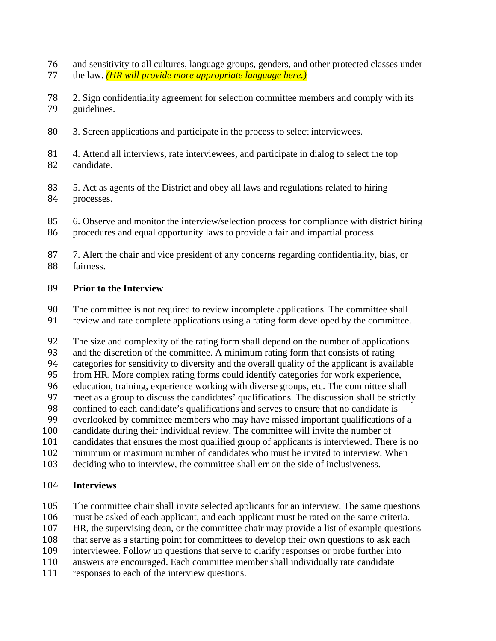- 26 and sensitivity to all cultures, language groups, genders, and other protected classes under<br>27 the law. *(HR will provide more appropriate language here.)* 77 the law. *(HR will provide more appropriate language here.)*
- 2. Sign confidentiality agreement for selection committee members and comply with its quidelines. guidelines.
- 80 3. Screen applications and participate in the process to select interviewees.
- 81 4. Attend all interviews, rate interviewees, and participate in dialog to select the top candidate. candidate.
- 83 5. Act as agents of the District and obey all laws and regulations related to hiring processes. processes.
- 85 6. Observe and monitor the interview/selection process for compliance with district hiring<br>86 procedures and equal opportunity laws to provide a fair and impartial process. procedures and equal opportunity laws to provide a fair and impartial process.
- 87 7. Alert the chair and vice president of any concerns regarding confidentiality, bias, or fairness. fairness.

#### 89 **Prior to the Interview**

- 90 The committee is not required to review incomplete applications. The committee shall<br>91 review and rate complete applications using a rating form developed by the committee.
- review and rate complete applications using a rating form developed by the committee.

92 The size and complexity of the rating form shall depend on the number of applications<br>93 and the discretion of the committee. A minimum rating form that consists of rating

93 and the discretion of the committee. A minimum rating form that consists of rating<br>94 categories for sensitivity to diversity and the overall quality of the applicant is avail

94 categories for sensitivity to diversity and the overall quality of the applicant is available<br>95 from HR. More complex rating forms could identify categories for work experience. 95 from HR. More complex rating forms could identify categories for work experience,<br>96 education, training, experience working with diverse groups, etc. The committee shall

96 education, training, experience working with diverse groups, etc. The committee shall<br>97 meet as a group to discuss the candidates' qualifications. The discussion shall be strictle

- 97 meet as a group to discuss the candidates' qualifications. The discussion shall be strictly<br>98 confined to each candidate's qualifications and serves to ensure that no candidate is
- 98 confined to each candidate's qualifications and serves to ensure that no candidate is<br>99 overlooked by committee members who may have missed important qualifications of
- 99 overlooked by committee members who may have missed important qualifications of a<br>100 candidate during their individual review. The committee will invite the number of
- 100 candidate during their individual review. The committee will invite the number of candidates that ensures the most qualified group of applicants is interviewed. There
- 101 candidates that ensures the most qualified group of applicants is interviewed. There is no<br>102 minimum or maximum number of candidates who must be invited to interview. When
- 102 minimum or maximum number of candidates who must be invited to interview. When<br>103 deciding who to interview, the committee shall err on the side of inclusiveness. deciding who to interview, the committee shall err on the side of inclusiveness.

# 104 **Interviews**

- 105 The committee chair shall invite selected applicants for an interview. The same questions nust be asked of each applicant, and each applicant must be rated on the same criteria.
- 106 must be asked of each applicant, and each applicant must be rated on the same criteria.<br>107 HR, the supervising dean, or the committee chair may provide a list of example questic
- 107 HR, the supervising dean, or the committee chair may provide a list of example questions that serve as a starting point for committees to develop their own questions to ask each
- 108 that serve as a starting point for committees to develop their own questions to ask each<br>109 interviewee. Follow up questions that serve to clarify responses or probe further into 109 interviewee. Follow up questions that serve to clarify responses or probe further into<br>110 answers are encouraged. Each committee member shall individually rate candidate
- 110 answers are encouraged. Each committee member shall individually rate candidate responses to each of the interview questions.
- responses to each of the interview questions.